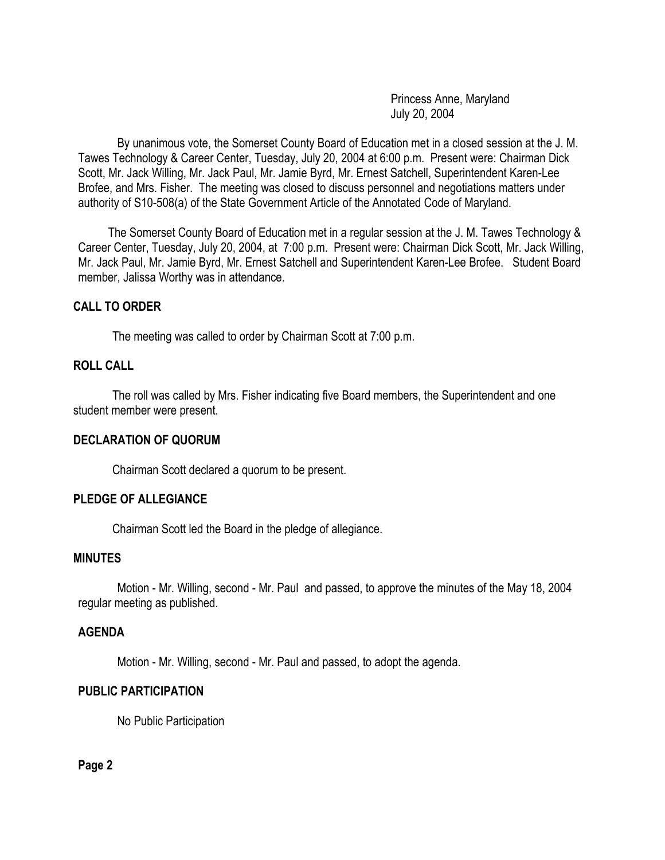Princess Anne, Maryland July 20, 2004

By unanimous vote, the Somerset County Board of Education met in a closed session at the J. M. Tawes Technology & Career Center, Tuesday, July 20, 2004 at 6:00 p.m. Present were: Chairman Dick Scott, Mr. Jack Willing, Mr. Jack Paul, Mr. Jamie Byrd, Mr. Ernest Satchell, Superintendent Karen-Lee Brofee, and Mrs. Fisher. The meeting was closed to discuss personnel and negotiations matters under authority of S10-508(a) of the State Government Article of the Annotated Code of Maryland.

 The Somerset County Board of Education met in a regular session at the J. M. Tawes Technology & Career Center, Tuesday, July 20, 2004, at 7:00 p.m. Present were: Chairman Dick Scott, Mr. Jack Willing, Mr. Jack Paul, Mr. Jamie Byrd, Mr. Ernest Satchell and Superintendent Karen-Lee Brofee. Student Board member, Jalissa Worthy was in attendance.

## **CALL TO ORDER**

The meeting was called to order by Chairman Scott at 7:00 p.m.

# **ROLL CALL**

The roll was called by Mrs. Fisher indicating five Board members, the Superintendent and one student member were present.

#### **DECLARATION OF QUORUM**

Chairman Scott declared a quorum to be present.

## **PLEDGE OF ALLEGIANCE**

Chairman Scott led the Board in the pledge of allegiance.

# **MINUTES**

Motion - Mr. Willing, second - Mr. Paul and passed, to approve the minutes of the May 18, 2004 regular meeting as published.

#### **AGENDA**

Motion - Mr. Willing, second - Mr. Paul and passed, to adopt the agenda.

## **PUBLIC PARTICIPATION**

No Public Participation

**Page 2**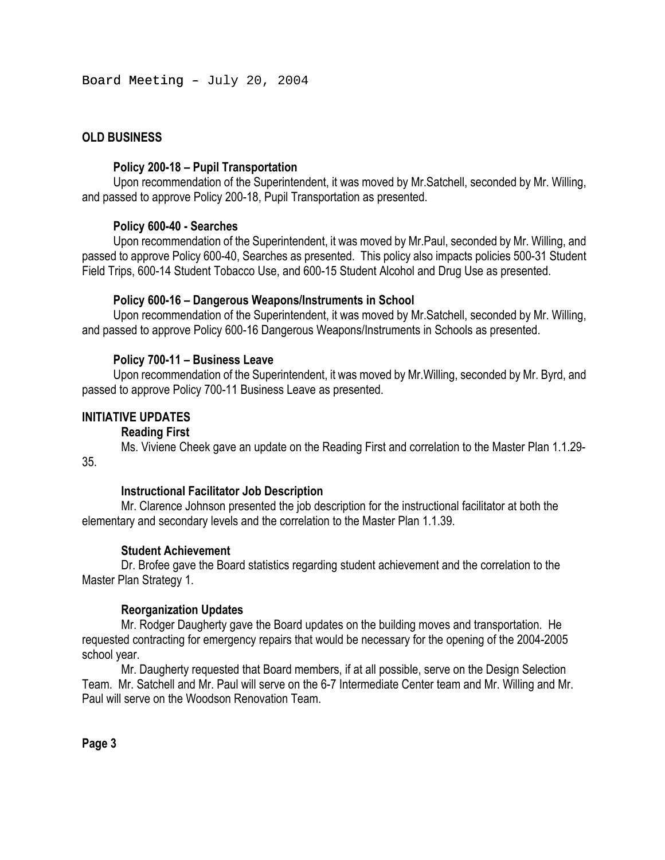Board Meeting  $-$  July 20, 2004

# **OLD BUSINESS**

## **Policy 200-18 – Pupil Transportation**

Upon recommendation of the Superintendent, it was moved by Mr.Satchell, seconded by Mr. Willing, and passed to approve Policy 200-18, Pupil Transportation as presented.

## **Policy 600-40 - Searches**

Upon recommendation of the Superintendent, it was moved by Mr.Paul, seconded by Mr. Willing, and passed to approve Policy 600-40, Searches as presented. This policy also impacts policies 500-31 Student Field Trips, 600-14 Student Tobacco Use, and 600-15 Student Alcohol and Drug Use as presented.

## **Policy 600-16 – Dangerous Weapons/Instruments in School**

Upon recommendation of the Superintendent, it was moved by Mr.Satchell, seconded by Mr. Willing, and passed to approve Policy 600-16 Dangerous Weapons/Instruments in Schools as presented.

## **Policy 700-11 – Business Leave**

Upon recommendation of the Superintendent, it was moved by Mr.Willing, seconded by Mr. Byrd, and passed to approve Policy 700-11 Business Leave as presented.

## **INITIATIVE UPDATES**

## **Reading First**

Ms. Viviene Cheek gave an update on the Reading First and correlation to the Master Plan 1.1.29- 35.

## **Instructional Facilitator Job Description**

Mr. Clarence Johnson presented the job description for the instructional facilitator at both the elementary and secondary levels and the correlation to the Master Plan 1.1.39.

## **Student Achievement**

Dr. Brofee gave the Board statistics regarding student achievement and the correlation to the Master Plan Strategy 1.

## **Reorganization Updates**

 Mr. Rodger Daugherty gave the Board updates on the building moves and transportation. He requested contracting for emergency repairs that would be necessary for the opening of the 2004-2005 school year.

 Mr. Daugherty requested that Board members, if at all possible, serve on the Design Selection Team. Mr. Satchell and Mr. Paul will serve on the 6-7 Intermediate Center team and Mr. Willing and Mr. Paul will serve on the Woodson Renovation Team.

**Page 3**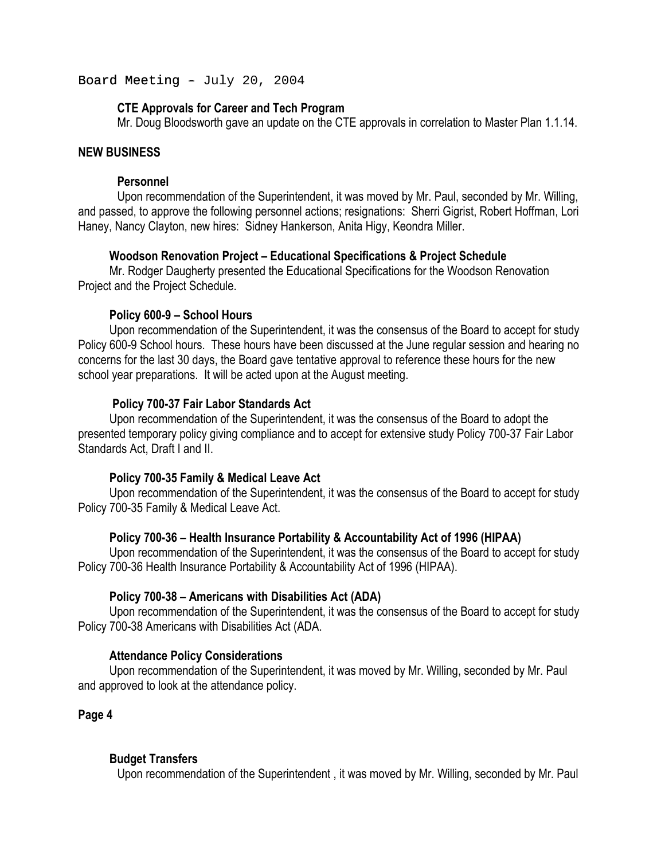Board Meeting  $-$  July 20, 2004

## **CTE Approvals for Career and Tech Program**

Mr. Doug Bloodsworth gave an update on the CTE approvals in correlation to Master Plan 1.1.14.

### **NEW BUSINESS**

#### **Personnel**

Upon recommendation of the Superintendent, it was moved by Mr. Paul, seconded by Mr. Willing, and passed, to approve the following personnel actions; resignations: Sherri Gigrist, Robert Hoffman, Lori Haney, Nancy Clayton, new hires: Sidney Hankerson, Anita Higy, Keondra Miller.

#### **Woodson Renovation Project – Educational Specifications & Project Schedule**

Mr. Rodger Daugherty presented the Educational Specifications for the Woodson Renovation Project and the Project Schedule.

#### **Policy 600-9 – School Hours**

Upon recommendation of the Superintendent, it was the consensus of the Board to accept for study Policy 600-9 School hours. These hours have been discussed at the June regular session and hearing no concerns for the last 30 days, the Board gave tentative approval to reference these hours for the new school year preparations. It will be acted upon at the August meeting.

### **Policy 700-37 Fair Labor Standards Act**

Upon recommendation of the Superintendent, it was the consensus of the Board to adopt the presented temporary policy giving compliance and to accept for extensive study Policy 700-37 Fair Labor Standards Act, Draft I and II.

### **Policy 700-35 Family & Medical Leave Act**

Upon recommendation of the Superintendent, it was the consensus of the Board to accept for study Policy 700-35 Family & Medical Leave Act.

#### **Policy 700-36 – Health Insurance Portability & Accountability Act of 1996 (HIPAA)**

Upon recommendation of the Superintendent, it was the consensus of the Board to accept for study Policy 700-36 Health Insurance Portability & Accountability Act of 1996 (HIPAA).

### **Policy 700-38 – Americans with Disabilities Act (ADA)**

Upon recommendation of the Superintendent, it was the consensus of the Board to accept for study Policy 700-38 Americans with Disabilities Act (ADA.

#### **Attendance Policy Considerations**

Upon recommendation of the Superintendent, it was moved by Mr. Willing, seconded by Mr. Paul and approved to look at the attendance policy.

**Page 4** 

### **Budget Transfers**

Upon recommendation of the Superintendent , it was moved by Mr. Willing, seconded by Mr. Paul